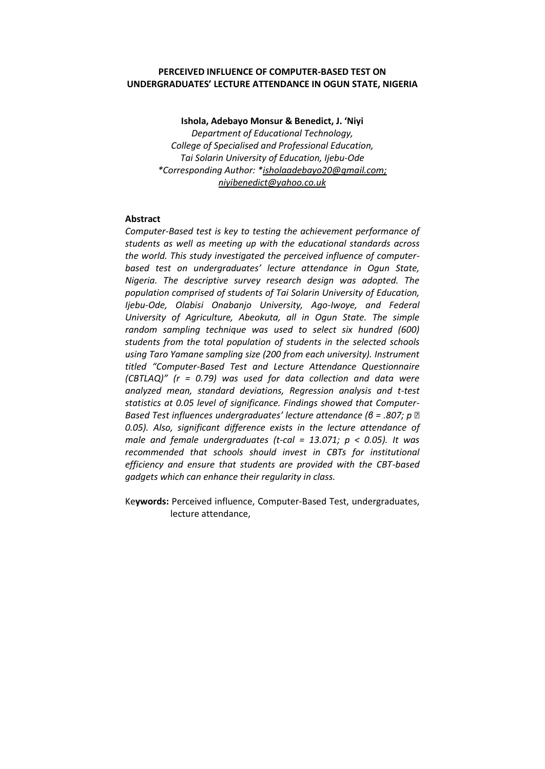# **PERCEIVED INFLUENCE OF COMPUTER-BASED TEST ON UNDERGRADUATES' LECTURE ATTENDANCE IN OGUN STATE, NIGERIA**

**Ishola, Adebayo Monsur & Benedict, J. 'Niyi**  *Department of Educational Technology, College of Specialised and Professional Education, Tai Solarin University of Education, Ijebu-Ode \*Corresponding Author: \*isholaadebayo20@gmail.com; niyibenedict@yahoo.co.uk*

# **Abstract**

*Computer-Based test is key to testing the achievement performance of students as well as meeting up with the educational standards across the world. This study investigated the perceived influence of computerbased test on undergraduates' lecture attendance in Ogun State, Nigeria. The descriptive survey research design was adopted. The population comprised of students of Tai Solarin University of Education, Ijebu-Ode, Olabisi Onabanjo University, Ago-Iwoye, and Federal University of Agriculture, Abeokuta, all in Ogun State. The simple random sampling technique was used to select six hundred (600) students from the total population of students in the selected schools using Taro Yamane sampling size (200 from each university). Instrument titled "Computer-Based Test and Lecture Attendance Questionnaire (CBTLAQ)" (r = 0.79) was used for data collection and data were analyzed mean, standard deviations, Regression analysis and t-test statistics at 0.05 level of significance. Findings showed that Computer-Based Test influences undergraduates' lecture attendance (β = .807; p*  $\mathbb{Z}$ *0.05). Also, significant difference exists in the lecture attendance of male and female undergraduates (t-cal = 13.071; p < 0.05). It was recommended that schools should invest in CBTs for institutional efficiency and ensure that students are provided with the CBT-based gadgets which can enhance their regularity in class.*

Ke**ywords:** Perceived influence, Computer-Based Test, undergraduates, lecture attendance,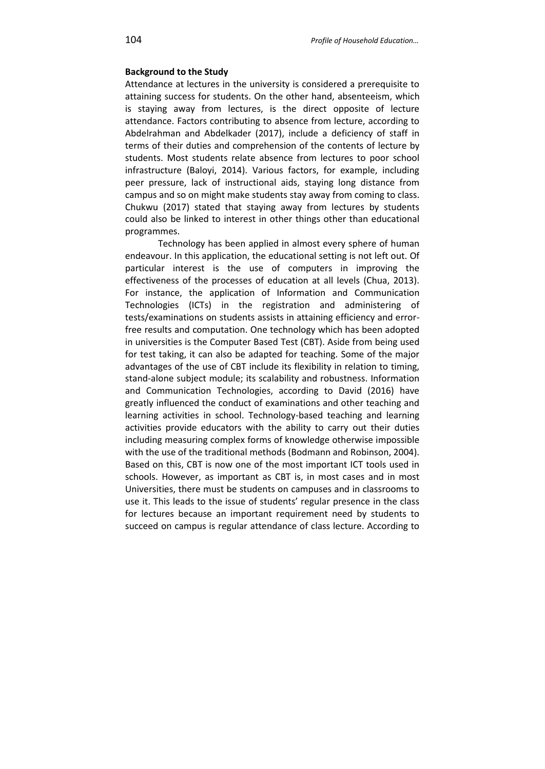## **Background to the Study**

Attendance at lectures in the university is considered a prerequisite to attaining success for students. On the other hand, absenteeism, which is staying away from lectures, is the direct opposite of lecture attendance. Factors contributing to absence from lecture, according to Abdelrahman and Abdelkader (2017), include a deficiency of staff in terms of their duties and comprehension of the contents of lecture by students. Most students relate absence from lectures to poor school infrastructure (Baloyi, 2014). Various factors, for example, including peer pressure, lack of instructional aids, staying long distance from campus and so on might make students stay away from coming to class. Chukwu (2017) stated that staying away from lectures by students could also be linked to interest in other things other than educational programmes.

Technology has been applied in almost every sphere of human endeavour. In this application, the educational setting is not left out. Of particular interest is the use of computers in improving the effectiveness of the processes of education at all levels (Chua, 2013). For instance, the application of Information and Communication Technologies (ICTs) in the registration and administering of tests/examinations on students assists in attaining efficiency and errorfree results and computation. One technology which has been adopted in universities is the Computer Based Test (CBT). Aside from being used for test taking, it can also be adapted for teaching. Some of the major advantages of the use of CBT include its flexibility in relation to timing, stand-alone subject module; its scalability and robustness. Information and Communication Technologies, according to David (2016) have greatly influenced the conduct of examinations and other teaching and learning activities in school. Technology-based teaching and learning activities provide educators with the ability to carry out their duties including measuring complex forms of knowledge otherwise impossible with the use of the traditional methods (Bodmann and Robinson, 2004). Based on this, CBT is now one of the most important ICT tools used in schools. However, as important as CBT is, in most cases and in most Universities, there must be students on campuses and in classrooms to use it. This leads to the issue of students' regular presence in the class for lectures because an important requirement need by students to succeed on campus is regular attendance of class lecture. According to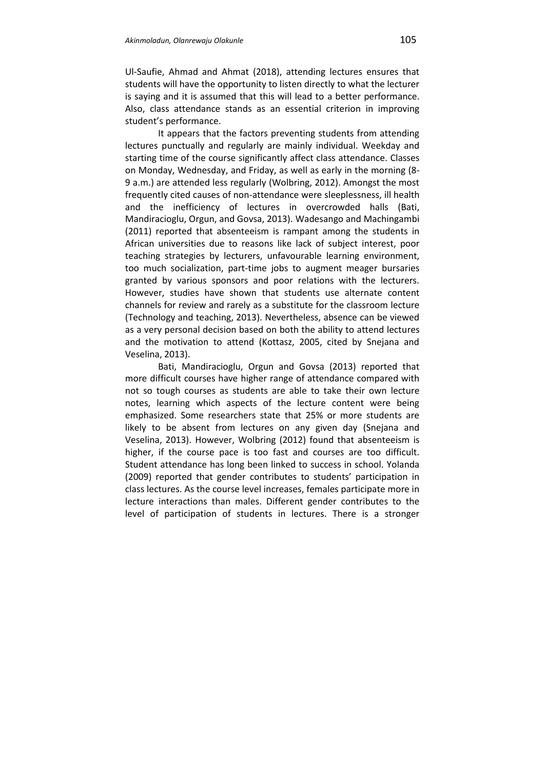Ul-Saufie, Ahmad and Ahmat (2018), attending lectures ensures that students will have the opportunity to listen directly to what the lecturer is saying and it is assumed that this will lead to a better performance. Also, class attendance stands as an essential criterion in improving student's performance.

It appears that the factors preventing students from attending lectures punctually and regularly are mainly individual. Weekday and starting time of the course significantly affect class attendance. Classes on Monday, Wednesday, and Friday, as well as early in the morning (8- 9 a.m.) are attended less regularly (Wolbring, 2012). Amongst the most frequently cited causes of non-attendance were sleeplessness, ill health and the inefficiency of lectures in overcrowded halls (Bati, Mandiracioglu, Orgun, and Govsa, 2013). Wadesango and Machingambi (2011) reported that absenteeism is rampant among the students in African universities due to reasons like lack of subject interest, poor teaching strategies by lecturers, unfavourable learning environment, too much socialization, part-time jobs to augment meager bursaries granted by various sponsors and poor relations with the lecturers. However, studies have shown that students use alternate content channels for review and rarely as a substitute for the classroom lecture (Technology and teaching, 2013). Nevertheless, absence can be viewed as a very personal decision based on both the ability to attend lectures and the motivation to attend (Kottasz, 2005, cited by Snejana and Veselina, 2013).

Bati, Mandiracioglu, Orgun and Govsa (2013) reported that more difficult courses have higher range of attendance compared with not so tough courses as students are able to take their own lecture notes, learning which aspects of the lecture content were being emphasized. Some researchers state that 25% or more students are likely to be absent from lectures on any given day (Snejana and Veselina, 2013). However, Wolbring (2012) found that absenteeism is higher, if the course pace is too fast and courses are too difficult. Student attendance has long been linked to success in school. Yolanda (2009) reported that gender contributes to students' participation in class lectures. As the course level increases, females participate more in lecture interactions than males. Different gender contributes to the level of participation of students in lectures. There is a stronger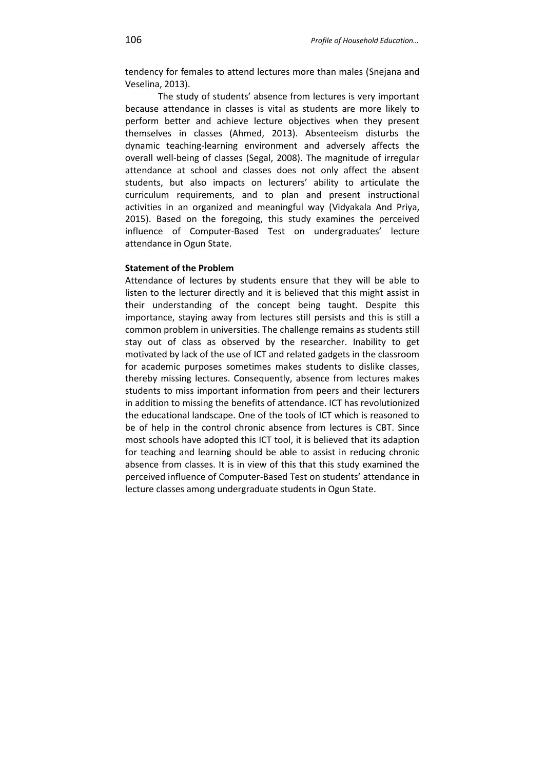tendency for females to attend lectures more than males (Snejana and Veselina, 2013).

The study of students' absence from lectures is very important because attendance in classes is vital as students are more likely to perform better and achieve lecture objectives when they present themselves in classes (Ahmed, 2013). Absenteeism disturbs the dynamic teaching-learning environment and adversely affects the overall well-being of classes (Segal, 2008). The magnitude of irregular attendance at school and classes does not only affect the absent students, but also impacts on lecturers' ability to articulate the curriculum requirements, and to plan and present instructional activities in an organized and meaningful way (Vidyakala And Priya, 2015). Based on the foregoing, this study examines the perceived influence of Computer-Based Test on undergraduates' lecture attendance in Ogun State.

### **Statement of the Problem**

Attendance of lectures by students ensure that they will be able to listen to the lecturer directly and it is believed that this might assist in their understanding of the concept being taught. Despite this importance, staying away from lectures still persists and this is still a common problem in universities. The challenge remains as students still stay out of class as observed by the researcher. Inability to get motivated by lack of the use of ICT and related gadgets in the classroom for academic purposes sometimes makes students to dislike classes, thereby missing lectures. Consequently, absence from lectures makes students to miss important information from peers and their lecturers in addition to missing the benefits of attendance. ICT has revolutionized the educational landscape. One of the tools of ICT which is reasoned to be of help in the control chronic absence from lectures is CBT. Since most schools have adopted this ICT tool, it is believed that its adaption for teaching and learning should be able to assist in reducing chronic absence from classes. It is in view of this that this study examined the perceived influence of Computer-Based Test on students' attendance in lecture classes among undergraduate students in Ogun State.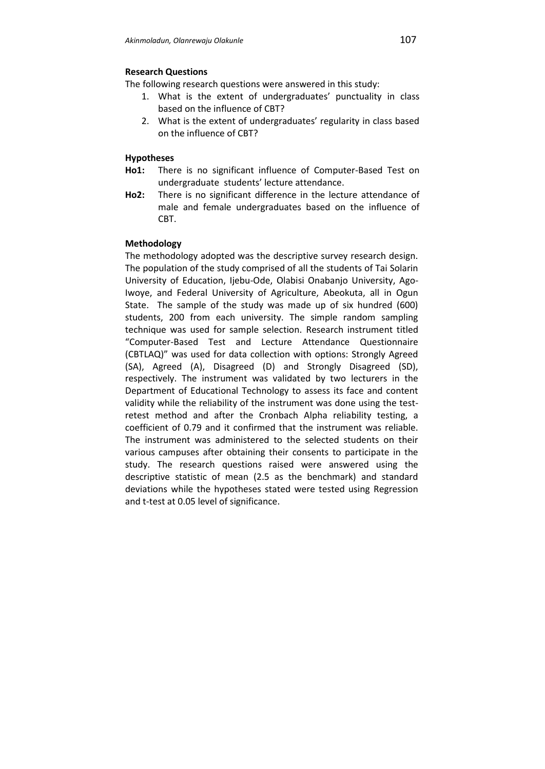# **Research Questions**

The following research questions were answered in this study:

- 1. What is the extent of undergraduates' punctuality in class based on the influence of CBT?
- 2. What is the extent of undergraduates' regularity in class based on the influence of CBT?

### **Hypotheses**

- **Ho1:** There is no significant influence of Computer-Based Test on undergraduate students' lecture attendance.
- **Ho2:** There is no significant difference in the lecture attendance of male and female undergraduates based on the influence of CBT.

# **Methodology**

The methodology adopted was the descriptive survey research design. The population of the study comprised of all the students of Tai Solarin University of Education, Ijebu-Ode, Olabisi Onabanjo University, Ago-Iwoye, and Federal University of Agriculture, Abeokuta, all in Ogun State. The sample of the study was made up of six hundred (600) students, 200 from each university. The simple random sampling technique was used for sample selection. Research instrument titled "Computer-Based Test and Lecture Attendance Questionnaire (CBTLAQ)" was used for data collection with options: Strongly Agreed (SA), Agreed (A), Disagreed (D) and Strongly Disagreed (SD), respectively. The instrument was validated by two lecturers in the Department of Educational Technology to assess its face and content validity while the reliability of the instrument was done using the testretest method and after the Cronbach Alpha reliability testing, a coefficient of 0.79 and it confirmed that the instrument was reliable. The instrument was administered to the selected students on their various campuses after obtaining their consents to participate in the study. The research questions raised were answered using the descriptive statistic of mean (2.5 as the benchmark) and standard deviations while the hypotheses stated were tested using Regression and t-test at 0.05 level of significance.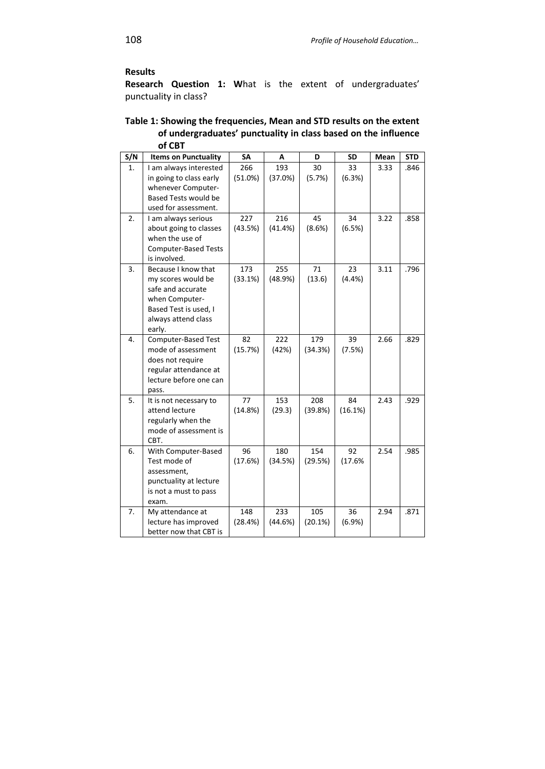# **Results**

**Research Question 1: W**hat is the extent of undergraduates' punctuality in class?

| Table 1: Showing the frequencies, Mean and STD results on the extent |
|----------------------------------------------------------------------|
| of undergraduates' punctuality in class based on the influence       |
| of CBT                                                               |

| S/N | <b>Items on Punctuality</b>                                                                                                                | SA             | А              | D              | <b>SD</b>     | Mean | <b>STD</b> |
|-----|--------------------------------------------------------------------------------------------------------------------------------------------|----------------|----------------|----------------|---------------|------|------------|
| 1.  | I am always interested<br>in going to class early<br>whenever Computer-<br>Based Tests would be<br>used for assessment.                    | 266<br>(51.0%) | 193<br>(37.0%) | 30<br>(5.7%)   | 33<br>(6.3%)  | 3.33 | .846       |
| 2.  | I am always serious<br>about going to classes<br>when the use of<br><b>Computer-Based Tests</b><br>is involved.                            | 227<br>(43.5%) | 216<br>(41.4%) | 45<br>(8.6%)   | 34<br>(6.5%)  | 3.22 | .858       |
| 3.  | Because I know that<br>my scores would be<br>safe and accurate<br>when Computer-<br>Based Test is used, I<br>always attend class<br>early. | 173<br>(33.1%) | 255<br>(48.9%) | 71<br>(13.6)   | 23<br>(4.4%)  | 3.11 | .796       |
| 4.  | Computer-Based Test<br>mode of assessment<br>does not require<br>regular attendance at<br>lecture before one can<br>pass.                  | 82<br>(15.7%)  | 222<br>(42%)   | 179<br>(34.3%) | 39<br>(7.5%)  | 2.66 | .829       |
| 5.  | It is not necessary to<br>attend lecture<br>regularly when the<br>mode of assessment is<br>CBT.                                            | 77<br>(14.8%)  | 153<br>(29.3)  | 208<br>(39.8%) | 84<br>(16.1%) | 2.43 | .929       |
| 6.  | With Computer-Based<br>Test mode of<br>assessment,<br>punctuality at lecture<br>is not a must to pass<br>exam.                             | 96<br>(17.6%)  | 180<br>(34.5%) | 154<br>(29.5%) | 92<br>(17.6%  | 2.54 | .985       |
| 7.  | My attendance at<br>lecture has improved<br>better now that CBT is                                                                         | 148<br>(28.4%) | 233<br>(44.6%) | 105<br>(20.1%) | 36<br>(6.9%   | 2.94 | .871       |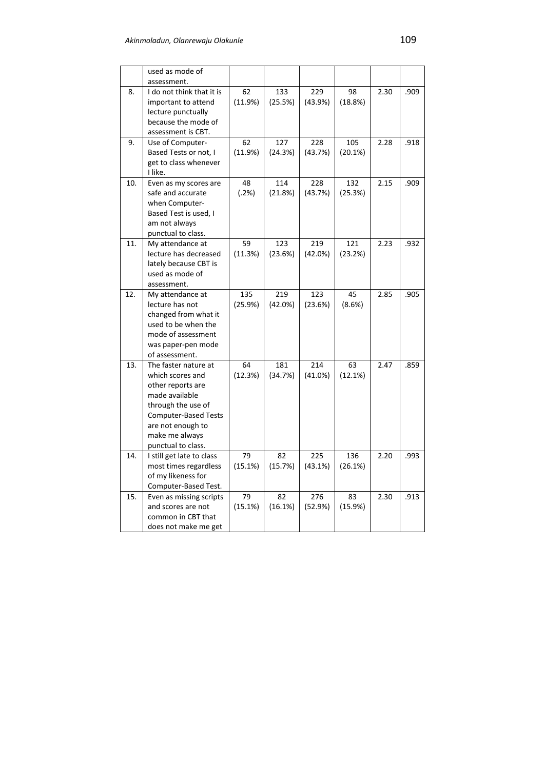|     | used as mode of                            |         |         |         |         |      |      |
|-----|--------------------------------------------|---------|---------|---------|---------|------|------|
|     | assessment.                                |         |         |         |         |      |      |
| 8.  | I do not think that it is                  | 62      | 133     | 229     | 98      | 2.30 | .909 |
|     | important to attend                        | (11.9%) | (25.5%) | (43.9%) | (18.8%) |      |      |
|     | lecture punctually                         |         |         |         |         |      |      |
|     | because the mode of                        |         |         |         |         |      |      |
|     | assessment is CBT.                         |         |         |         |         |      |      |
| 9.  | Use of Computer-                           | 62      | 127     | 228     | 105     | 2.28 | .918 |
|     | Based Tests or not, I                      | (11.9%) | (24.3%) | (43.7%) | (20.1%) |      |      |
|     | get to class whenever                      |         |         |         |         |      |      |
|     | I like.                                    | 48      |         |         |         | 2.15 |      |
| 10. | Even as my scores are<br>safe and accurate |         | 114     | 228     | 132     |      | .909 |
|     | when Computer-                             | (.2%)   | (21.8%) | (43.7%) | (25.3%) |      |      |
|     | Based Test is used, I                      |         |         |         |         |      |      |
|     | am not always                              |         |         |         |         |      |      |
|     | punctual to class.                         |         |         |         |         |      |      |
| 11. | My attendance at                           | 59      | 123     | 219     | 121     | 2.23 | .932 |
|     | lecture has decreased                      | (11.3%) | (23.6%) | (42.0%) | (23.2%) |      |      |
|     | lately because CBT is                      |         |         |         |         |      |      |
|     | used as mode of                            |         |         |         |         |      |      |
|     | assessment.                                |         |         |         |         |      |      |
| 12. | My attendance at                           | 135     | 219     | 123     | 45      | 2.85 | .905 |
|     | lecture has not                            | (25.9%) | (42.0%) | (23.6%) | (8.6%)  |      |      |
|     | changed from what it                       |         |         |         |         |      |      |
|     | used to be when the                        |         |         |         |         |      |      |
|     | mode of assessment                         |         |         |         |         |      |      |
|     | was paper-pen mode                         |         |         |         |         |      |      |
|     | of assessment.                             |         |         |         |         |      |      |
| 13. | The faster nature at                       | 64      | 181     | 214     | 63      | 2.47 | .859 |
|     | which scores and                           | (12.3%) | (34.7%) | (41.0%) | (12.1%) |      |      |
|     | other reports are                          |         |         |         |         |      |      |
|     | made available                             |         |         |         |         |      |      |
|     | through the use of                         |         |         |         |         |      |      |
|     | <b>Computer-Based Tests</b>                |         |         |         |         |      |      |
|     | are not enough to<br>make me always        |         |         |         |         |      |      |
|     | punctual to class.                         |         |         |         |         |      |      |
| 14. | I still get late to class                  | 79      | 82      | 225     | 136     | 2.20 | .993 |
|     | most times regardless                      | (15.1%) | (15.7%) | (43.1%) | (26.1%) |      |      |
|     | of my likeness for                         |         |         |         |         |      |      |
|     | Computer-Based Test.                       |         |         |         |         |      |      |
| 15. | Even as missing scripts                    | 79      | 82      | 276     | 83      | 2.30 | .913 |
|     | and scores are not                         | (15.1%) | (16.1%) | (52.9%) | (15.9%) |      |      |
|     | common in CBT that                         |         |         |         |         |      |      |
|     | does not make me get                       |         |         |         |         |      |      |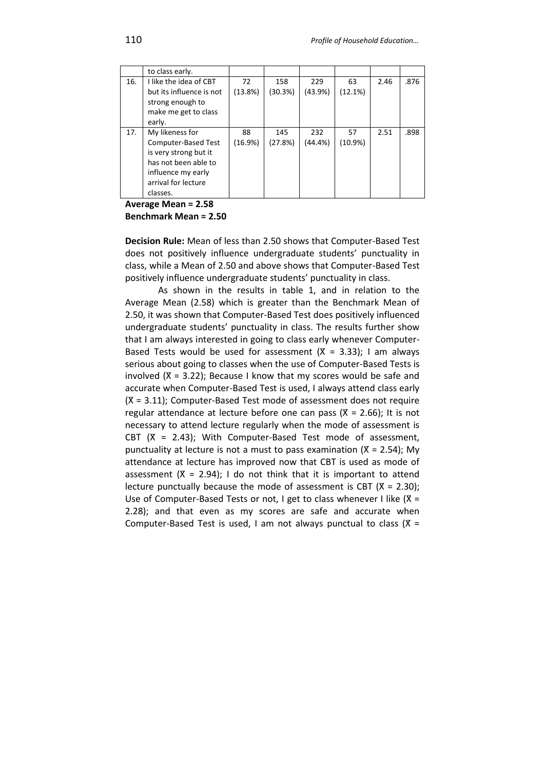|     | to class early.                                                                                                                                  |               |                |                |                  |      |      |
|-----|--------------------------------------------------------------------------------------------------------------------------------------------------|---------------|----------------|----------------|------------------|------|------|
| 16. | I like the idea of CBT<br>but its influence is not<br>strong enough to<br>make me get to class<br>early.                                         | 72<br>(13.8%) | 158<br>(30.3%) | 229<br>(43.9%) | 63<br>(12.1%)    | 2.46 | .876 |
| 17. | My likeness for<br>Computer-Based Test<br>is very strong but it<br>has not been able to<br>influence my early<br>arrival for lecture<br>classes. | 88<br>(16.9%) | 145<br>(27.8%) | 232<br>(44.4%) | 57<br>$(10.9\%)$ | 2.51 | .898 |

### **Average Mean = 2.58**

#### **Benchmark Mean = 2.50**

**Decision Rule:** Mean of less than 2.50 shows that Computer-Based Test does not positively influence undergraduate students' punctuality in class, while a Mean of 2.50 and above shows that Computer-Based Test positively influence undergraduate students' punctuality in class.

As shown in the results in table 1, and in relation to the Average Mean (2.58) which is greater than the Benchmark Mean of 2.50, it was shown that Computer-Based Test does positively influenced undergraduate students' punctuality in class. The results further show that I am always interested in going to class early whenever Computer-Based Tests would be used for assessment ( $X = 3.33$ ); I am always serious about going to classes when the use of Computer-Based Tests is involved  $(X = 3.22)$ ; Because I know that my scores would be safe and accurate when Computer-Based Test is used, I always attend class early  $(X = 3.11)$ ; Computer-Based Test mode of assessment does not require regular attendance at lecture before one can pass ( $X = 2.66$ ); It is not necessary to attend lecture regularly when the mode of assessment is CBT  $(X = 2.43)$ ; With Computer-Based Test mode of assessment, punctuality at lecture is not a must to pass examination ( $X = 2.54$ ); My attendance at lecture has improved now that CBT is used as mode of assessment  $(X = 2.94)$ ; I do not think that it is important to attend lecture punctually because the mode of assessment is CBT ( $X = 2.30$ ); Use of Computer-Based Tests or not, I get to class whenever I like  $(X =$ 2.28); and that even as my scores are safe and accurate when Computer-Based Test is used, I am not always punctual to class  $(X =$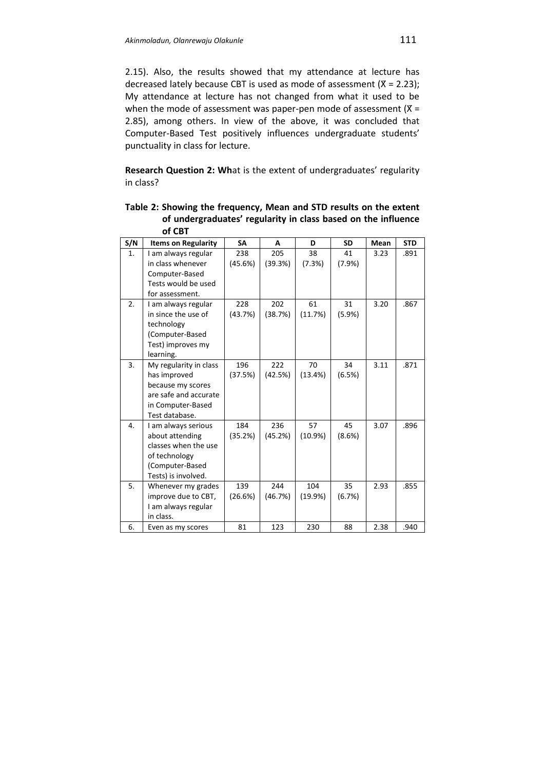2.15). Also, the results showed that my attendance at lecture has decreased lately because CBT is used as mode of assessment ( $X = 2.23$ ); My attendance at lecture has not changed from what it used to be when the mode of assessment was paper-pen mode of assessment  $(X =$ 2.85), among others. In view of the above, it was concluded that Computer-Based Test positively influences undergraduate students' punctuality in class for lecture.

**Research Question 2: Wh**at is the extent of undergraduates' regularity in class?

|     | <b>UL CD L</b>             |           |         |         |           |      |            |
|-----|----------------------------|-----------|---------|---------|-----------|------|------------|
| S/N | <b>Items on Regularity</b> | <b>SA</b> | A       | D       | <b>SD</b> | Mean | <b>STD</b> |
| 1.  | I am always regular        | 238       | 205     | 38      | 41        | 3.23 | .891       |
|     | in class whenever          | (45.6%)   | (39.3%) | (7.3%)  | (7.9%)    |      |            |
|     | Computer-Based             |           |         |         |           |      |            |
|     | Tests would be used        |           |         |         |           |      |            |
|     | for assessment.            |           |         |         |           |      |            |
| 2.  | I am always regular        | 228       | 202     | 61      | 31        | 3.20 | .867       |
|     | in since the use of        | (43.7%)   | (38.7%) | (11.7%) | $(5.9\%)$ |      |            |
|     | technology                 |           |         |         |           |      |            |
|     | (Computer-Based            |           |         |         |           |      |            |
|     | Test) improves my          |           |         |         |           |      |            |
|     | learning.                  |           |         |         |           |      |            |
| 3.  | My regularity in class     | 196       | 222     | 70      | 34        | 3.11 | .871       |
|     | has improved               | (37.5%)   | (42.5%) | (13.4%) | (6.5%)    |      |            |
|     | because my scores          |           |         |         |           |      |            |
|     | are safe and accurate      |           |         |         |           |      |            |
|     | in Computer-Based          |           |         |         |           |      |            |
|     | Test database.             |           |         |         |           |      |            |
| 4.  | I am always serious        | 184       | 236     | 57      | 45        | 3.07 | .896       |
|     | about attending            | (35.2%)   | (45.2%) | (10.9%) | (8.6%)    |      |            |
|     | classes when the use       |           |         |         |           |      |            |
|     | of technology              |           |         |         |           |      |            |
|     | (Computer-Based            |           |         |         |           |      |            |
|     | Tests) is involved.        |           |         |         |           |      |            |
| 5.  | Whenever my grades         | 139       | 244     | 104     | 35        | 2.93 | .855       |
|     | improve due to CBT,        | (26.6%)   | (46.7%) | (19.9%) | (6.7%)    |      |            |
|     | I am always regular        |           |         |         |           |      |            |
|     | in class.                  |           |         |         |           |      |            |
| 6.  | Even as my scores          | 81        | 123     | 230     | 88        | 2.38 | .940       |

**Table 2: Showing the frequency, Mean and STD results on the extent of undergraduates' regularity in class based on the influence**   $\overline{f}$  CBT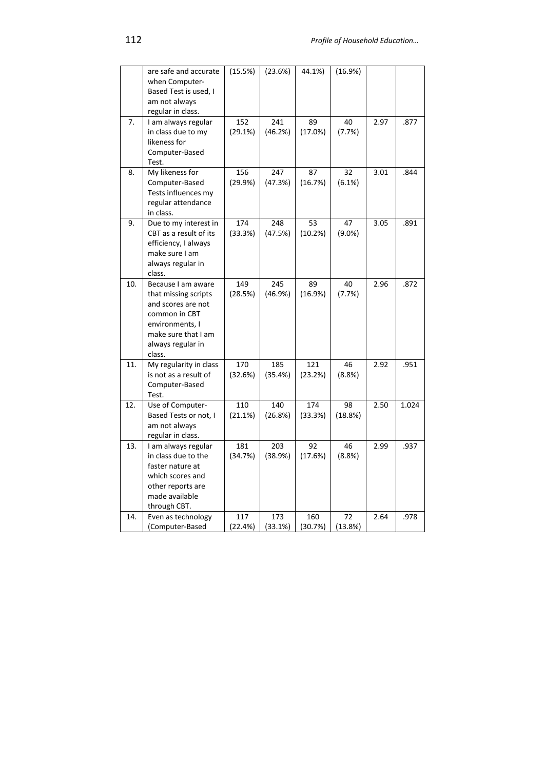|     | are safe and accurate<br>when Computer-<br>Based Test is used, I                                                                                           | (15.5%)        | (23.6%)        | 44.1%)         | (16.9%)         |      |       |
|-----|------------------------------------------------------------------------------------------------------------------------------------------------------------|----------------|----------------|----------------|-----------------|------|-------|
|     | am not always<br>regular in class.                                                                                                                         |                |                |                |                 |      |       |
| 7.  | I am always regular<br>in class due to my<br>likeness for<br>Computer-Based<br>Test.                                                                       | 152<br>(29.1%) | 241<br>(46.2%) | 89<br>(17.0%)  | 40<br>(7.7%)    | 2.97 | .877  |
| 8.  | My likeness for<br>Computer-Based<br>Tests influences my<br>regular attendance<br>in class.                                                                | 156<br>(29.9%) | 247<br>(47.3%) | 87<br>(16.7%)  | 32<br>(6.1%)    | 3.01 | .844  |
| 9.  | Due to my interest in<br>CBT as a result of its<br>efficiency, I always<br>make sure I am<br>always regular in<br>class.                                   | 174<br>(33.3%) | 248<br>(47.5%) | 53<br>(10.2%)  | 47<br>$(9.0\%)$ | 3.05 | .891  |
| 10. | Because I am aware<br>that missing scripts<br>and scores are not<br>common in CBT<br>environments, I<br>make sure that I am<br>always regular in<br>class. | 149<br>(28.5%) | 245<br>(46.9%) | 89<br>(16.9%)  | 40<br>(7.7%)    | 2.96 | .872  |
| 11. | My regularity in class<br>is not as a result of<br>Computer-Based<br>Test.                                                                                 | 170<br>(32.6%) | 185<br>(35.4%) | 121<br>(23.2%) | 46<br>(8.8%)    | 2.92 | .951  |
| 12. | Use of Computer-<br>Based Tests or not, I<br>am not always<br>regular in class.                                                                            | 110<br>(21.1%) | 140<br>(26.8%) | 174<br>(33.3%) | 98<br>(18.8%)   | 2.50 | 1.024 |
| 13. | I am always regular<br>in class due to the<br>faster nature at<br>which scores and<br>other reports are<br>made available<br>through CBT.                  | 181<br>(34.7%) | 203<br>(38.9%) | 92<br>(17.6%)  | 46<br>(8.8%)    | 2.99 | .937  |
| 14. | Even as technology<br>(Computer-Based                                                                                                                      | 117<br>(22.4%) | 173<br>(33.1%) | 160<br>(30.7%) | 72<br>(13.8%)   | 2.64 | .978  |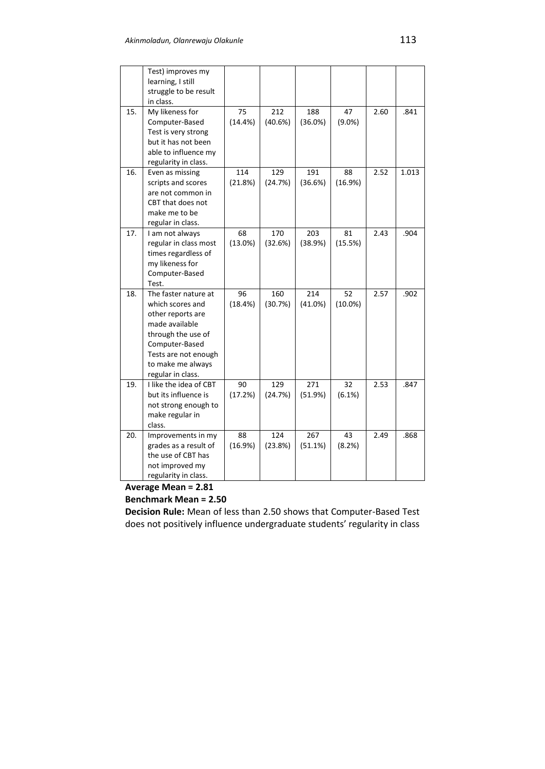|     | Test) improves my      |         |         |            |            |      |       |
|-----|------------------------|---------|---------|------------|------------|------|-------|
|     | learning, I still      |         |         |            |            |      |       |
|     | struggle to be result  |         |         |            |            |      |       |
|     | in class.              |         |         |            |            |      |       |
| 15. | My likeness for        | 75      | 212     | 188        | 47         | 2.60 | .841  |
|     | Computer-Based         | (14.4%) | (40.6%) | $(36.0\%)$ | $(9.0\%)$  |      |       |
|     | Test is very strong    |         |         |            |            |      |       |
|     | but it has not been    |         |         |            |            |      |       |
|     | able to influence my   |         |         |            |            |      |       |
|     | regularity in class.   |         |         |            |            |      |       |
| 16. | Even as missing        | 114     | 129     | 191        | 88         | 2.52 | 1.013 |
|     | scripts and scores     | (21.8%) | (24.7%) | (36.6%)    | (16.9%)    |      |       |
|     | are not common in      |         |         |            |            |      |       |
|     | CBT that does not      |         |         |            |            |      |       |
|     | make me to be          |         |         |            |            |      |       |
|     | regular in class.      |         |         |            |            |      |       |
| 17. | I am not always        | 68      | 170     | 203        | 81         | 2.43 | .904  |
|     | regular in class most  | (13.0%) | (32.6%) | (38.9%)    | (15.5%)    |      |       |
|     | times regardless of    |         |         |            |            |      |       |
|     | my likeness for        |         |         |            |            |      |       |
|     | Computer-Based         |         |         |            |            |      |       |
|     | Test.                  |         |         |            |            |      |       |
| 18. | The faster nature at   | 96      | 160     | 214        | 52         | 2.57 | .902  |
|     | which scores and       | (18.4%) | (30.7%) | (41.0%)    | $(10.0\%)$ |      |       |
|     | other reports are      |         |         |            |            |      |       |
|     | made available         |         |         |            |            |      |       |
|     | through the use of     |         |         |            |            |      |       |
|     | Computer-Based         |         |         |            |            |      |       |
|     | Tests are not enough   |         |         |            |            |      |       |
|     | to make me always      |         |         |            |            |      |       |
|     | regular in class.      |         |         |            |            |      |       |
| 19. | I like the idea of CBT | 90      | 129     | 271        | 32         | 2.53 | .847  |
|     | but its influence is   | (17.2%) | (24.7%) | (51.9%)    | (6.1%)     |      |       |
|     | not strong enough to   |         |         |            |            |      |       |
|     | make regular in        |         |         |            |            |      |       |
|     | class.                 |         |         |            |            |      |       |
| 20. | Improvements in my     | 88      | 124     | 267        | 43         | 2.49 | .868  |
|     | grades as a result of  | (16.9%) | (23.8%) | (51.1%)    | (8.2%)     |      |       |
|     | the use of CBT has     |         |         |            |            |      |       |
|     | not improved my        |         |         |            |            |      |       |
|     | regularity in class.   |         |         |            |            |      |       |

# **Average Mean = 2.81**

# **Benchmark Mean = 2.50**

**Decision Rule:** Mean of less than 2.50 shows that Computer-Based Test does not positively influence undergraduate students' regularity in class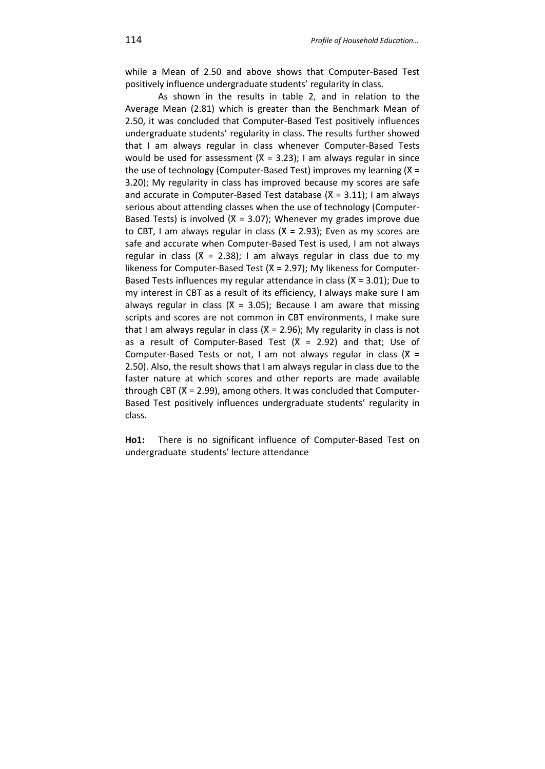while a Mean of 2.50 and above shows that Computer-Based Test positively influence undergraduate students' regularity in class.

As shown in the results in table 2, and in relation to the Average Mean (2.81) which is greater than the Benchmark Mean of 2.50, it was concluded that Computer-Based Test positively influences undergraduate students' regularity in class. The results further showed that I am always regular in class whenever Computer-Based Tests would be used for assessment  $(X = 3.23)$ ; I am always regular in since the use of technology (Computer-Based Test) improves my learning  $(X =$ 3.20); My regularity in class has improved because my scores are safe and accurate in Computer-Based Test database  $(X = 3.11)$ ; I am always serious about attending classes when the use of technology (Computer-Based Tests) is involved ( $X = 3.07$ ); Whenever my grades improve due to CBT, I am always regular in class ( $X = 2.93$ ); Even as my scores are safe and accurate when Computer-Based Test is used, I am not always regular in class  $(X = 2.38)$ ; I am always regular in class due to my likeness for Computer-Based Test ( $X = 2.97$ ); My likeness for Computer-Based Tests influences my regular attendance in class ( $X = 3.01$ ); Due to my interest in CBT as a result of its efficiency, I always make sure I am always regular in class ( $X = 3.05$ ); Because I am aware that missing scripts and scores are not common in CBT environments, I make sure that I am always regular in class ( $X = 2.96$ ); My regularity in class is not as a result of Computer-Based Test  $(X = 2.92)$  and that; Use of Computer-Based Tests or not, I am not always regular in class  $(X =$ 2.50). Also, the result shows that I am always regular in class due to the faster nature at which scores and other reports are made available through CBT (X = 2.99), among others. It was concluded that Computer-Based Test positively influences undergraduate students' regularity in class.

**Ho1:** There is no significant influence of Computer-Based Test on undergraduate students' lecture attendance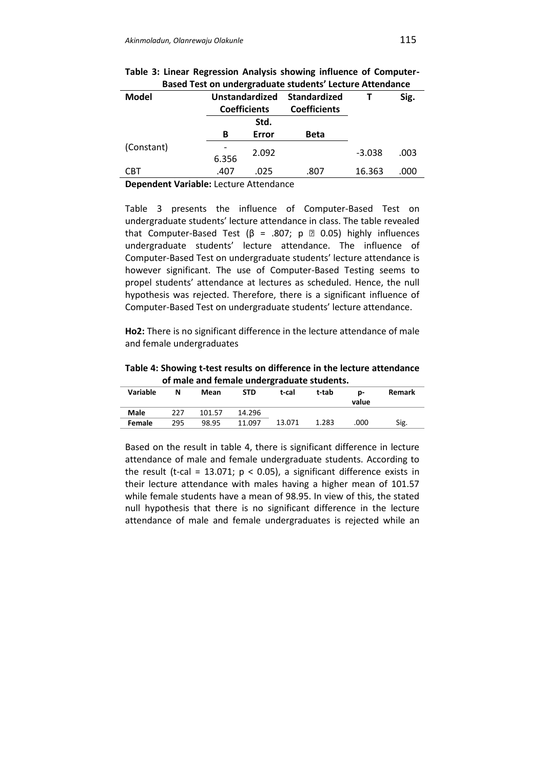| <b>Model</b> | <b>Unstandardized</b><br><b>Coefficients</b> |       | Standardized<br><b>Coefficients</b> |          | Sig. |
|--------------|----------------------------------------------|-------|-------------------------------------|----------|------|
|              |                                              | Std.  |                                     |          |      |
|              | в                                            | Error | <b>Beta</b>                         |          |      |
| (Constant)   | 6.356                                        | 2.092 |                                     | $-3.038$ | .003 |
| CBT          | .407                                         | .025  | .807                                | 16.363   | .000 |

|  |  |  | Table 3: Linear Regression Analysis showing influence of Computer- |
|--|--|--|--------------------------------------------------------------------|
|  |  |  | Based Test on undergraduate students' Lecture Attendance           |

**Dependent Variable:** Lecture Attendance

Table 3 presents the influence of Computer-Based Test on undergraduate students' lecture attendance in class. The table revealed that Computer-Based Test (β = .807; p  $\mathbb{Z}$  0.05) highly influences undergraduate students' lecture attendance. The influence of Computer-Based Test on undergraduate students' lecture attendance is however significant. The use of Computer-Based Testing seems to propel students' attendance at lectures as scheduled. Hence, the null hypothesis was rejected. Therefore, there is a significant influence of Computer-Based Test on undergraduate students' lecture attendance.

**Ho2:** There is no significant difference in the lecture attendance of male and female undergraduates

**Table 4: Showing t-test results on difference in the lecture attendance of male and female undergraduate students.**

| Variable      | N   | Mean   | STD    | t-cal  | t-tab | <b>D-</b><br>value | Remark |
|---------------|-----|--------|--------|--------|-------|--------------------|--------|
| Male          | 227 | 101.57 | 14.296 |        |       |                    |        |
| <b>Female</b> | 295 | 98.95  | 11.097 | 13.071 | 1.283 | .000               | Sig.   |

Based on the result in table 4, there is significant difference in lecture attendance of male and female undergraduate students. According to the result (t-cal = 13.071;  $p < 0.05$ ), a significant difference exists in their lecture attendance with males having a higher mean of 101.57 while female students have a mean of 98.95. In view of this, the stated null hypothesis that there is no significant difference in the lecture attendance of male and female undergraduates is rejected while an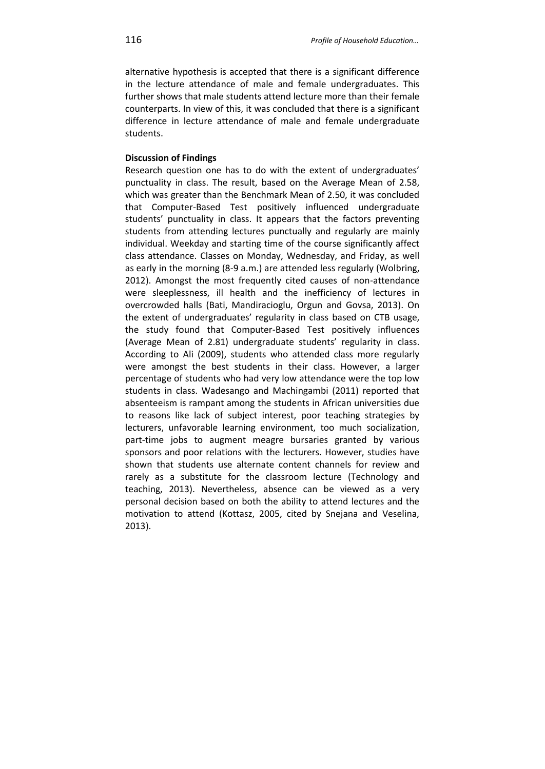alternative hypothesis is accepted that there is a significant difference in the lecture attendance of male and female undergraduates. This further shows that male students attend lecture more than their female counterparts. In view of this, it was concluded that there is a significant difference in lecture attendance of male and female undergraduate students.

# **Discussion of Findings**

Research question one has to do with the extent of undergraduates' punctuality in class. The result, based on the Average Mean of 2.58, which was greater than the Benchmark Mean of 2.50, it was concluded that Computer-Based Test positively influenced undergraduate students' punctuality in class. It appears that the factors preventing students from attending lectures punctually and regularly are mainly individual. Weekday and starting time of the course significantly affect class attendance. Classes on Monday, Wednesday, and Friday, as well as early in the morning (8-9 a.m.) are attended less regularly (Wolbring, 2012). Amongst the most frequently cited causes of non-attendance were sleeplessness, ill health and the inefficiency of lectures in overcrowded halls (Bati, Mandiracioglu, Orgun and Govsa, 2013). On the extent of undergraduates' regularity in class based on CTB usage, the study found that Computer-Based Test positively influences (Average Mean of 2.81) undergraduate students' regularity in class. According to Ali (2009), students who attended class more regularly were amongst the best students in their class. However, a larger percentage of students who had very low attendance were the top low students in class. Wadesango and Machingambi (2011) reported that absenteeism is rampant among the students in African universities due to reasons like lack of subject interest, poor teaching strategies by lecturers, unfavorable learning environment, too much socialization, part-time jobs to augment meagre bursaries granted by various sponsors and poor relations with the lecturers. However, studies have shown that students use alternate content channels for review and rarely as a substitute for the classroom lecture (Technology and teaching, 2013). Nevertheless, absence can be viewed as a very personal decision based on both the ability to attend lectures and the motivation to attend (Kottasz, 2005, cited by Snejana and Veselina, 2013).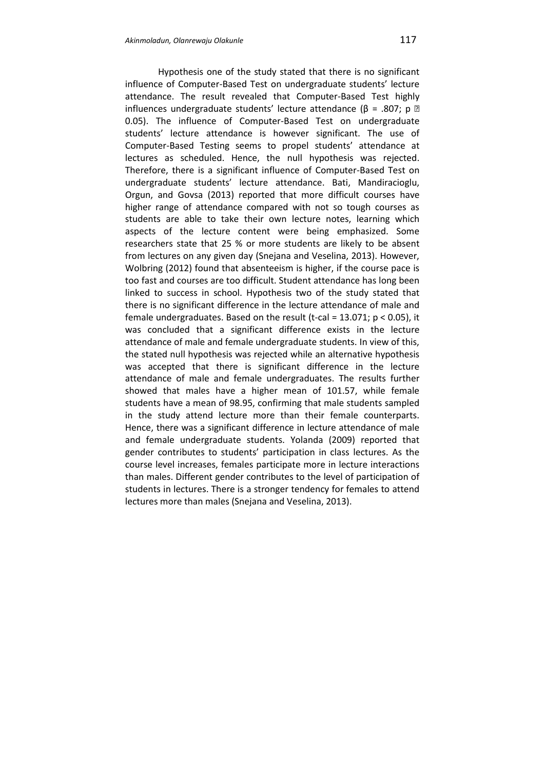Hypothesis one of the study stated that there is no significant influence of Computer-Based Test on undergraduate students' lecture attendance. The result revealed that Computer-Based Test highly influences undergraduate students' lecture attendance ( $\beta$  = .807; p  $\textcircled{2}$ 0.05). The influence of Computer-Based Test on undergraduate students' lecture attendance is however significant. The use of Computer-Based Testing seems to propel students' attendance at lectures as scheduled. Hence, the null hypothesis was rejected. Therefore, there is a significant influence of Computer-Based Test on undergraduate students' lecture attendance. Bati, Mandiracioglu, Orgun, and Govsa (2013) reported that more difficult courses have higher range of attendance compared with not so tough courses as students are able to take their own lecture notes, learning which aspects of the lecture content were being emphasized. Some researchers state that 25 % or more students are likely to be absent from lectures on any given day (Snejana and Veselina, 2013). However, Wolbring (2012) found that absenteeism is higher, if the course pace is too fast and courses are too difficult. Student attendance has long been linked to success in school. Hypothesis two of the study stated that there is no significant difference in the lecture attendance of male and female undergraduates. Based on the result (t-cal =  $13.071$ ;  $p < 0.05$ ), it was concluded that a significant difference exists in the lecture attendance of male and female undergraduate students. In view of this, the stated null hypothesis was rejected while an alternative hypothesis was accepted that there is significant difference in the lecture attendance of male and female undergraduates. The results further showed that males have a higher mean of 101.57, while female students have a mean of 98.95, confirming that male students sampled in the study attend lecture more than their female counterparts. Hence, there was a significant difference in lecture attendance of male and female undergraduate students. Yolanda (2009) reported that gender contributes to students' participation in class lectures. As the course level increases, females participate more in lecture interactions than males. Different gender contributes to the level of participation of students in lectures. There is a stronger tendency for females to attend lectures more than males (Snejana and Veselina, 2013).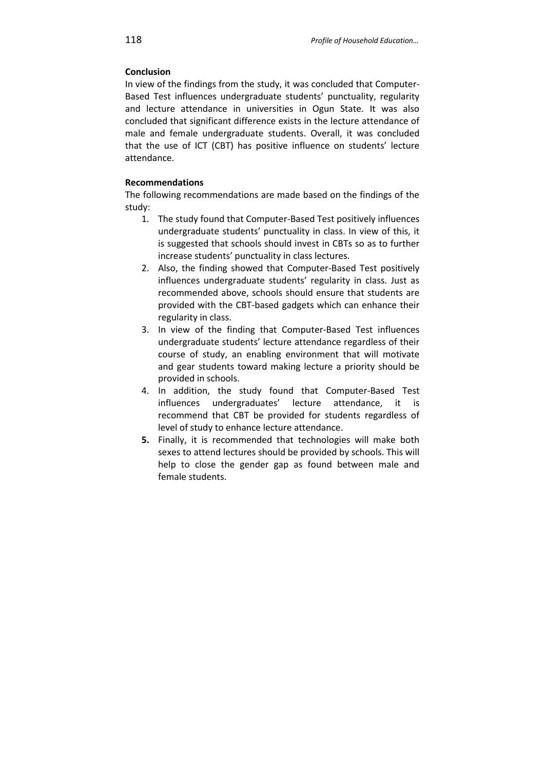# **Conclusion**

In view of the findings from the study, it was concluded that Computer-Based Test influences undergraduate students' punctuality, regularity and lecture attendance in universities in Ogun State. It was also concluded that significant difference exists in the lecture attendance of male and female undergraduate students. Overall, it was concluded that the use of ICT (CBT) has positive influence on students' lecture attendance.

# **Recommendations**

The following recommendations are made based on the findings of the study:

- 1. The study found that Computer-Based Test positively influences undergraduate students' punctuality in class. In view of this, it is suggested that schools should invest in CBTs so as to further increase students' punctuality in class lectures.
- 2. Also, the finding showed that Computer-Based Test positively influences undergraduate students' regularity in class. Just as recommended above, schools should ensure that students are provided with the CBT-based gadgets which can enhance their regularity in class.
- 3. In view of the finding that Computer-Based Test influences undergraduate students' lecture attendance regardless of their course of study, an enabling environment that will motivate and gear students toward making lecture a priority should be provided in schools.
- 4. In addition, the study found that Computer-Based Test influences undergraduates' lecture attendance, it is recommend that CBT be provided for students regardless of level of study to enhance lecture attendance.
- **5.** Finally, it is recommended that technologies will make both sexes to attend lectures should be provided by schools. This will help to close the gender gap as found between male and female students.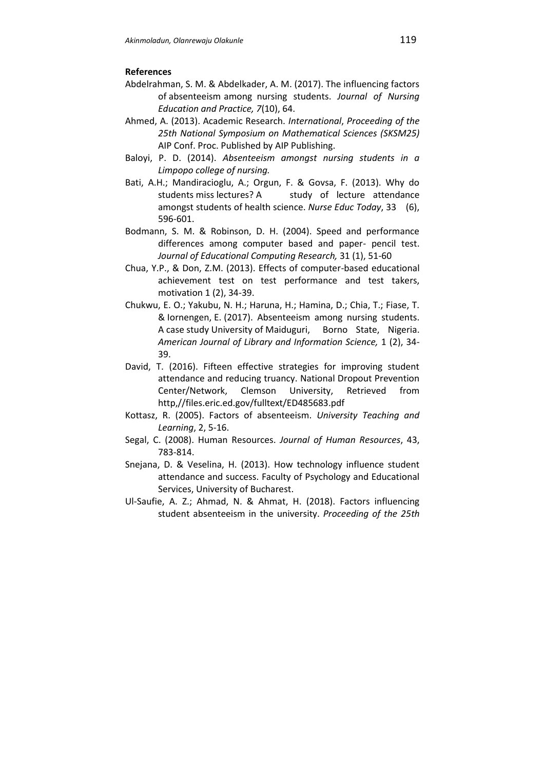# **References**

- Abdelrahman, S. M. & Abdelkader, A. M. (2017). The influencing factors of absenteeism among nursing students. *Journal of Nursing Education and Practice, 7*(10), 64.
- Ahmed, A. (2013). Academic Research. *International*, *Proceeding of the 25th National Symposium on Mathematical Sciences (SKSM25)*  AIP Conf. Proc. Published by AIP Publishing.
- Baloyi, P. D. (2014). *Absenteeism amongst nursing students in a Limpopo college of nursing.*
- Bati, A.H.; Mandiracioglu, A.; Orgun, F. & Govsa, F. (2013). Why do students miss lectures? A study of lecture attendance amongst students of health science. *Nurse Educ Today*, 33 (6), 596-601.
- Bodmann, S. M. & Robinson, D. H. (2004). Speed and performance differences among computer based and paper- pencil test. *Journal of Educational Computing Research,* 31 (1), 51-60
- Chua, Y.P., & Don, Z.M. (2013). Effects of computer-based educational achievement test on test performance and test takers, motivation 1 (2), 34-39.
- Chukwu, E. O.; Yakubu, N. H.; Haruna, H.; Hamina, D.; Chia, T.; Fiase, T. & Iornengen, E. (2017). Absenteeism among nursing students. A case study University of Maiduguri, Borno State, Nigeria. *American Journal of Library and Information Science,* 1 (2), 34- 39.
- David, T. (2016). Fifteen effective strategies for improving student attendance and reducing truancy. National Dropout Prevention Center/Network, Clemson University, Retrieved from http,//files.eric.ed.gov/fulltext/ED485683.pdf
- Kottasz, R. (2005). Factors of absenteeism. *University Teaching and Learning*, 2, 5-16.
- Segal, C. (2008). Human Resources. *Journal of Human Resources*, 43, 783-814.
- Snejana, D. & Veselina, H. (2013). How technology influence student attendance and success. Faculty of Psychology and Educational Services, University of Bucharest.
- Ul-Saufie, A. Z.; Ahmad, N. & Ahmat, H. (2018). Factors influencing student absenteeism in the university. *Proceeding of the 25th*